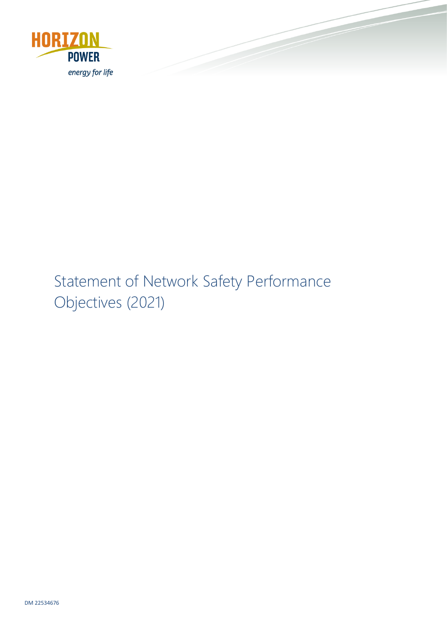

# Statement of Network Safety Performance Objectives (2021)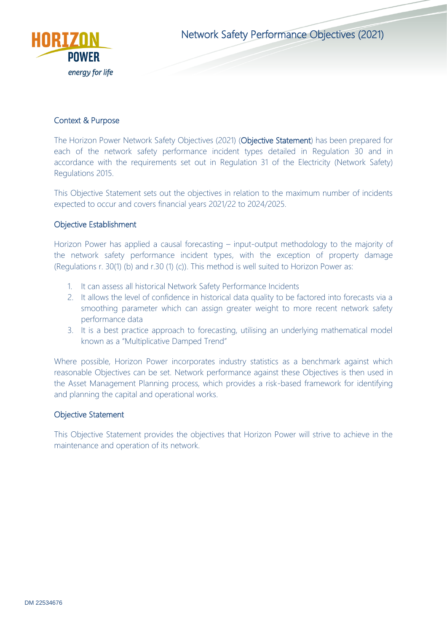

Network Safety Performance Objectives (2021)

## Context & Purpose

The Horizon Power Network Safety Objectives (2021) (Objective Statement) has been prepared for each of the network safety performance incident types detailed in Regulation 30 and in accordance with the requirements set out in Regulation 31 of the Electricity (Network Safety) Regulations 2015.

This Objective Statement sets out the objectives in relation to the maximum number of incidents expected to occur and covers financial years 2021/22 to 2024/2025.

## Objective Establishment

Horizon Power has applied a causal forecasting – input-output methodology to the majority of the network safety performance incident types, with the exception of property damage (Regulations r. 30(1) (b) and r.30 (1) (c)). This method is well suited to Horizon Power as:

- 1. It can assess all historical Network Safety Performance Incidents
- 2. It allows the level of confidence in historical data quality to be factored into forecasts via a smoothing parameter which can assign greater weight to more recent network safety performance data
- 3. It is a best practice approach to forecasting, utilising an underlying mathematical model known as a "Multiplicative Damped Trend"

Where possible, Horizon Power incorporates industry statistics as a benchmark against which reasonable Objectives can be set. Network performance against these Objectives is then used in the Asset Management Planning process, which provides a risk-based framework for identifying and planning the capital and operational works.

#### Objective Statement

This Objective Statement provides the objectives that Horizon Power will strive to achieve in the maintenance and operation of its network.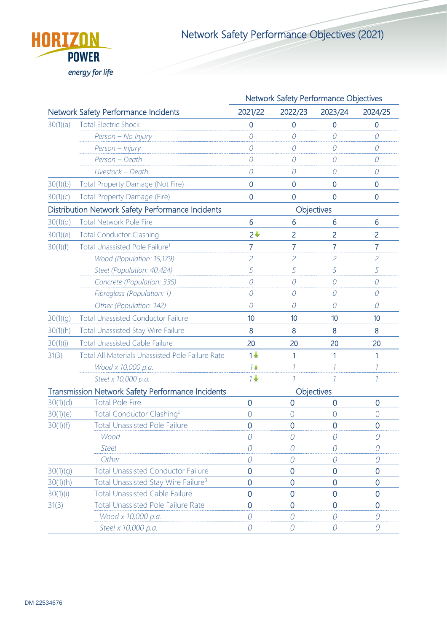

Network Safety Performance Objectives (2021)

|          |                                                                 |                             | Network Safety Performance Objectives |                             |                |  |
|----------|-----------------------------------------------------------------|-----------------------------|---------------------------------------|-----------------------------|----------------|--|
|          | <b>Network Safety Performance Incidents</b>                     | 2021/22                     | 2022/23                               | 2023/24                     | 2024/25        |  |
| 30(1)(a) | <b>Total Electric Shock</b>                                     | 0                           | $\overline{0}$                        | 0                           | $\overline{0}$ |  |
|          | Person - No Injury                                              | 0                           | 0                                     | 0                           | 0              |  |
|          | Person - Injury                                                 | 0                           | 0                                     | 0                           | 0              |  |
|          | Person - Death                                                  | 0                           | $\cal O$                              | $\theta$                    | $\mathcal O$   |  |
|          | Livestock - Death                                               | 0                           | 0                                     | 0                           | 0              |  |
| 30(1)(b) | Total Property Damage (Not Fire)                                | $\overline{0}$              | $\mathbf 0$                           | $\overline{0}$              | $\overline{0}$ |  |
| 30(1)(c) | <b>Total Property Damage (Fire)</b>                             | $\overline{0}$              | $\overline{0}$                        | 0                           | $\overline{0}$ |  |
|          | Distribution Network Safety Performance Incidents<br>Objectives |                             |                                       |                             |                |  |
| 30(1)(d) | <b>Total Network Pole Fire</b>                                  | 6                           | 6                                     | 6                           | 6              |  |
| 30(1)(e) | <b>Total Conductor Clashing</b>                                 | $2+$                        | 2                                     | 2                           | 2              |  |
| 30(1)(f) | Total Unassisted Pole Failure <sup>1</sup>                      | 7                           | 7                                     | 7                           | 7              |  |
|          | Wood (Population: 15,179)                                       | $\mathcal{Z}_{\mathcal{C}}$ | $\overline{c}$                        | $\mathcal{Z}_{\mathcal{C}}$ | $\mathcal{L}$  |  |
|          | Steel (Population: 40,424)                                      | 5                           | 5                                     | 5                           | 5              |  |
|          | Concrete (Population: 335)                                      | 0                           | ${\cal O}$                            | 0                           | $\mathcal O$   |  |
|          | Fibreglass (Population: 1)                                      | 0                           | $\mathcal O$                          | 0                           | $\cal O$       |  |
|          | Other (Population: 142)                                         | 0                           | 0                                     | $\theta$                    | 0              |  |
| 30(1)(g) | <b>Total Unassisted Conductor Failure</b>                       | 10                          | 10                                    | 10                          | 10             |  |
| 30(1)(h) | <b>Total Unassisted Stay Wire Failure</b>                       | 8                           | 8                                     | 8                           | 8              |  |
| 30(1)(i) | <b>Total Unassisted Cable Failure</b>                           | 20                          | 20                                    | 20                          | 20             |  |
| 31(3)    | <b>Total All Materials Unassisted Pole Failure Rate</b>         | $1\frac{1}{2}$              | 1                                     | 1                           | 1              |  |
|          | Wood x 10,000 p.a.                                              | $7+$                        | $\mathcal{I}$                         | 7                           | $\mathcal{I}$  |  |
|          | Steel x 10,000 p.a.                                             | 7 <sup>1</sup>              |                                       |                             | 1              |  |
|          | Transmission Network Safety Performance Incidents               |                             |                                       | Objectives                  |                |  |
| 30(1)(d) | <b>Total Pole Fire</b>                                          | $\overline{0}$              | $\overline{0}$                        | $\overline{0}$              | 0              |  |
| 30(1)(e) | Total Conductor Clashing <sup>2</sup>                           | $\bigcap$                   | $\bigcap$                             | $\Omega$                    | $\overline{0}$ |  |
| 30(1)(f) | <b>Total Unassisted Pole Failure</b>                            | $\overline{0}$              | $\overline{0}$                        | $\overline{0}$              | $\overline{0}$ |  |
|          | Wood                                                            | $\mathcal O$                | $\mathcal O$                          | $\mathcal O$                | 0              |  |
|          | <b>Steel</b>                                                    | $\left( \right)$            | 0                                     | 0                           | 0              |  |
|          | Other                                                           | 0                           | $\mathcal O$                          | 0                           | $\mathcal O$   |  |
| 30(1)(g) | <b>Total Unassisted Conductor Failure</b>                       | $\overline{0}$              | $\overline{0}$                        | $\overline{0}$              | $\overline{0}$ |  |
| 30(1)(h) | Total Unassisted Stay Wire Failure <sup>3</sup>                 | $\overline{0}$              | $\overline{0}$                        | $\overline{0}$              | $\overline{0}$ |  |
| 30(1)(i) | <b>Total Unassisted Cable Failure</b>                           | $\overline{0}$              | $\overline{0}$                        | $\overline{0}$              | $\overline{0}$ |  |
| 31(3)    | <b>Total Unassisted Pole Failure Rate</b>                       | $\overline{0}$              | $\overline{0}$                        | $\overline{0}$              | 0              |  |
|          | Wood x 10,000 p.a.                                              | 0                           | 0                                     | $\bigcap$                   | 0              |  |
|          | Steel x 10,000 p.a.                                             | $\overline{O}$              | $\mathcal O$                          | 0                           | 0              |  |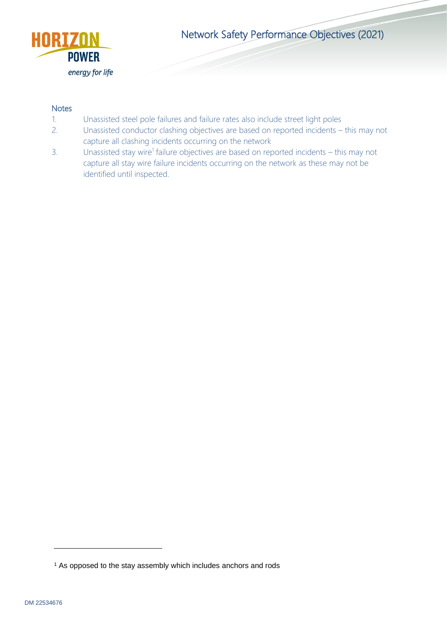

Network Safety Performance Objectives (2021)

#### **Notes**

- 1. Unassisted steel pole failures and failure rates also include street light poles
- 2. Unassisted conductor clashing objectives are based on reported incidents this may not capture all clashing incidents occurring on the network
- 3. Unassisted stay wire<sup>1</sup> failure objectives are based on reported incidents this may not capture all stay wire failure incidents occurring on the network as these may not be identified until inspected.

<sup>&</sup>lt;sup>1</sup> As opposed to the stay assembly which includes anchors and rods